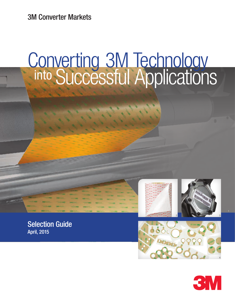3M Converter Markets

# Converting 3M Technology into Successful Applications









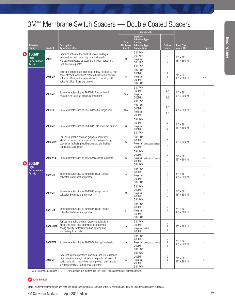## 3M™ Membrane Switch Spacers — Double Coated Spacers

|    |                                                              |                |                                                                                                                                                                                                                                | Construction               |                                                                                |                                                    |                                         |              |
|----|--------------------------------------------------------------|----------------|--------------------------------------------------------------------------------------------------------------------------------------------------------------------------------------------------------------------------------|----------------------------|--------------------------------------------------------------------------------|----------------------------------------------------|-----------------------------------------|--------------|
|    |                                                              |                |                                                                                                                                                                                                                                | <b>Total</b>               | <b>Top Liner</b><br><b>Adhesive Type</b><br>Carrier                            |                                                    |                                         |              |
|    | <b>Adhesive</b><br>Family <sup>1</sup>                       | <b>Product</b> | Description/<br><b>Application Ideas</b>                                                                                                                                                                                       | <b>Thickness</b><br>(mils) | <b>Adhesive Type</b><br><b>Bottom Liner</b>                                    | <b>Caliper</b><br>(mils)                           | <b>Sheet Size</b><br><b>Master Roll</b> | <b>Specs</b> |
| O  | <b>100MP</b><br><b>High</b><br>Performance<br><b>Acrylic</b> | 7979           | Premium adhesive for harsh chemical and high<br>temperature resistance. High shear strength<br>withstands repeated stresses from switch actuation.<br>Both liners are printed.                                                 | 9                          | 58# PCK<br>100 MP*<br>Polyester<br>100 MP*<br><b>58# PCK</b>                   | 2<br>5<br>$\overline{c}$                           | 24" x 36"<br>48" x 360 yd               |              |
|    | <b>200MP</b><br><b>High</b><br>Performance<br><b>Acrylic</b> | 7945MP         | Excellent temperature, chemical and UV resistance. High<br>shear strength withstands repeated stresses of switch<br>actuation. Designed to separate switch circuitry until<br>actuation. Both liners are printed.              | 5                          | 58# PCK<br>200MP<br>Polyester<br>200MP<br><b>58# PCK</b>                       | $\overline{c}$<br>1<br>$\overline{2}$              | 24" x 36"<br>48" x 360 yd               | UL           |
|    |                                                              | 7953MP         | Same characteristics as 7945MP. Primary liner is<br>printed. Also used for graphic attachment.                                                                                                                                 | 3.5                        | 58# PCK<br>200MP<br>Polyester<br>200MP<br><b>58# PCK</b>                       | 1.5<br>0.5<br>1.5                                  | 24" x 36"<br>48" x 360 yd               | UL           |
|    |                                                              | 7953HL         | Same characteristics as 7953MP with a single liner.                                                                                                                                                                            | 3.5                        | 83# PCK<br>200MP<br>Polvester<br>200MP                                         | 1.5<br>0.5<br>1.5                                  | 48" x 360 yd                            |              |
|    |                                                              | 7956MP         | Same characteristics as 7945MP. Both liners are printed.                                                                                                                                                                       | 6                          | 58# PCK<br>200MP<br>Polyester<br>200MP<br>58# PCK                              | 2<br>$\mathbf{2}$<br>$\overline{c}$                | 24" x 36"<br>48" x 360 yd               | UL           |
|    |                                                              | 7956MWS        | For use in graphic and non-graphic applications.<br>Metallized vapor coat and white color provide strong<br>opacity for facilitating backlighting and eliminating<br>floodcoats. Single liner.                                 | $6\,$                      | 58# PCK<br>200MP<br>Polyester (white, vapor coated)<br>200MP                   | $\overline{c}$<br>$\mathbf{2}$<br>$\overline{c}$   | 48" x 360 yd                            | UL           |
| Ol |                                                              | 7956WDL        | Same characteristics as 7956MWS except in sheets.                                                                                                                                                                              | 6                          | 58# PCK<br>200MP<br>Polyester (white, vapor coated)<br>200MP<br><b>58# PCK</b> | $\overline{c}$<br>$\overline{c}$<br>$\overline{2}$ | 24" x 36"<br>48" x 360 yd               | UL           |
|    |                                                              | 7957MP         | Same characteristics as 7945MP, except thicker<br>polyester. Both liners are printed.                                                                                                                                          | $\overline{7}$             | 58# PCK<br>200MP<br>Polyester<br>200MP<br><b>58# PCK</b>                       | 2<br>3<br>$\overline{c}$                           | 24" x 36"<br>48" x 360 yd               | UL           |
|    |                                                              | 7959MP         | Same characteristics as 7945MP, except thicker<br>polyester. Both liners are printed.                                                                                                                                          | 9                          | 58# PCK<br>200MP<br>Polyester<br>200MP<br>58# PCK                              | $\mathbf{2}$<br>5<br>$\overline{c}$                | 24" x 36"<br>48" x 360 yd               | UL           |
|    |                                                              | 7961MP         | Same characteristics as 7945MP, except thicker<br>polyester. Both liners are printed.                                                                                                                                          | 11                         | <b>58# PCK</b><br>200MP<br>Polyester<br>200MP<br><b>58# PCK</b>                | $\overline{c}$<br>$\overline{7}$<br>$\overline{c}$ | 24" x 36"<br>48" x 360 yd               | UL           |
|    |                                                              | 7966MWS        | For use in graphic and non-graphic applications.<br>Metallized vapor coat and white color provide<br>strong opacity for facilitating backlighting and<br>eliminating floodcoats.                                               | $\boldsymbol{9}$           | <b>58# PCK</b><br>200MP<br>Polyester (white)<br>200MP                          | $\mathbf{2}$<br>$\overline{\mathbf{c}}$<br>5       | 48" x 360 yd                            | UL           |
|    |                                                              | 7966WDL        | Same characteristics as 7966MWS except in sheets.                                                                                                                                                                              | $\boldsymbol{9}$           | <b>58# PCK</b><br>200MP<br>Polyester (white, vapor coated)<br>200MP<br>58# PCK | $\overline{c}$<br>$\overline{c}$<br>5              | 24" x 36"<br>48" x 360 yd               | UL           |
|    |                                                              | 9045MP         | Excellent high temperature, chemical, and UV resistance.<br>High cohesive strength withstands repeated stresses of<br>switch actuation. Heavy liner for improved handling and<br>lay-flat properties. Both liners are printed. | 5                          | 94# PCK<br>200MP<br>Polyester<br>200MP<br>94# PCK                              | $\overline{c}$<br>1<br>$\overline{c}$              | 24" x 36"<br>48" x 360 yd               | UL           |

1 – More information on pages 8–9. \*Products in this platform are 3M™ VHB™ Tapes offering our highest strength.

#### Go-To Product

Note: This technical information and data should be considered representative or typical only and should not be used for specification purposes.